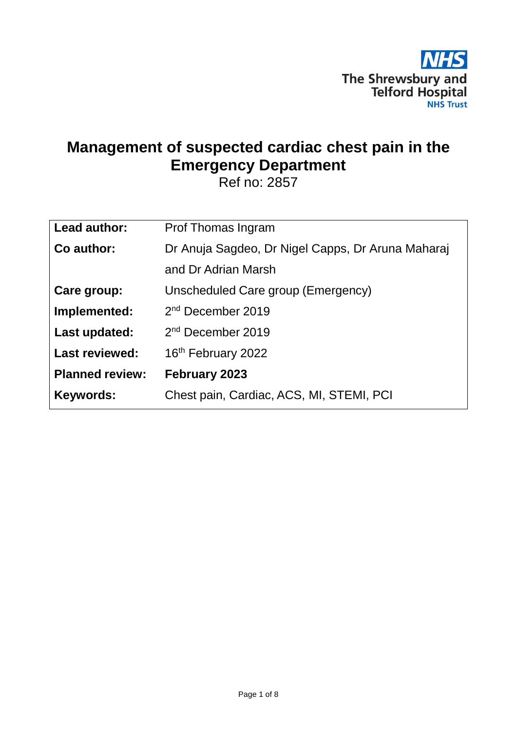

# **Management of suspected cardiac chest pain in the Emergency Department**

Ref no: 2857

| Lead author:           | Prof Thomas Ingram                                |
|------------------------|---------------------------------------------------|
| Co author:             | Dr Anuja Sagdeo, Dr Nigel Capps, Dr Aruna Maharaj |
|                        | and Dr Adrian Marsh                               |
| Care group:            | Unscheduled Care group (Emergency)                |
| Implemented:           | $2nd$ December 2019                               |
| Last updated:          | 2 <sup>nd</sup> December 2019                     |
| <b>Last reviewed:</b>  | 16 <sup>th</sup> February 2022                    |
| <b>Planned review:</b> | February 2023                                     |
| <b>Keywords:</b>       | Chest pain, Cardiac, ACS, MI, STEMI, PCI          |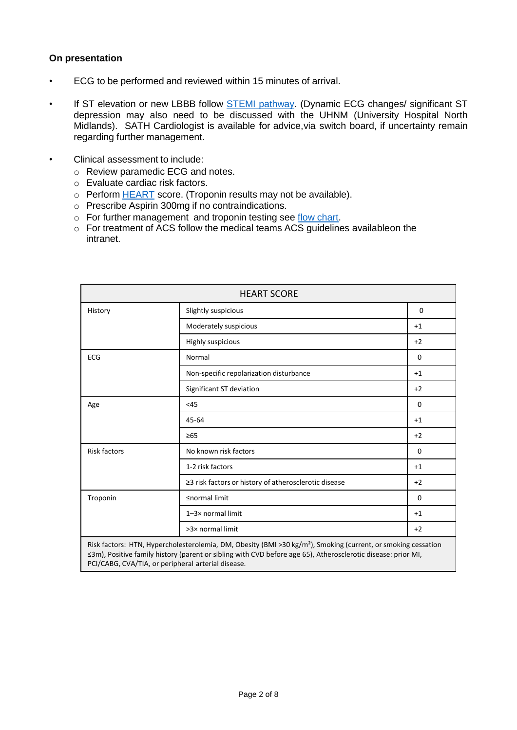## <span id="page-1-0"></span>**On presentation**

- ECG to be performed and reviewed within 15 minutes of arrival.
- If ST elevation or new LBBB follow [STEMI pathway.](#page-7-0) (Dynamic ECG changes/ significant ST depression may also need to be discussed with the UHNM (University Hospital North Midlands). SATH Cardiologist is available for advice,via switch board, if uncertainty remain regarding further management.
- Clinical assessment to include:
	- o Review paramedic ECG and notes.
	- o Evaluate cardiac risk factors.
	- o Perform **[HEART](https://www.mdcalc.com/heart-score-major-cardiac-events)** score. (Troponin results may not be available).
	- o Prescribe Aspirin 300mg if no contraindications.
	- o For further management and troponin testing see flow [chart.](#page-2-0)
	- $\circ$  For treatment of ACS follow the medical teams ACS guidelines availableon the intranet.

| <b>HEART SCORE</b>  |                                                                                                                                                                                                                                           |             |
|---------------------|-------------------------------------------------------------------------------------------------------------------------------------------------------------------------------------------------------------------------------------------|-------------|
| History             | Slightly suspicious                                                                                                                                                                                                                       | $\Omega$    |
|                     | Moderately suspicious                                                                                                                                                                                                                     | $+1$        |
|                     | Highly suspicious                                                                                                                                                                                                                         | $+2$        |
| <b>ECG</b>          | Normal                                                                                                                                                                                                                                    | $\mathbf 0$ |
|                     | Non-specific repolarization disturbance                                                                                                                                                                                                   | $+1$        |
|                     | Significant ST deviation                                                                                                                                                                                                                  | $+2$        |
| Age                 | <45                                                                                                                                                                                                                                       | $\Omega$    |
|                     | 45-64                                                                                                                                                                                                                                     | $+1$        |
|                     | $\geq 65$                                                                                                                                                                                                                                 | $+2$        |
| <b>Risk factors</b> | No known risk factors                                                                                                                                                                                                                     | 0           |
|                     | 1-2 risk factors                                                                                                                                                                                                                          | $+1$        |
|                     | ≥3 risk factors or history of atherosclerotic disease                                                                                                                                                                                     | $+2$        |
| Troponin            | ≤normal limit                                                                                                                                                                                                                             | $\Omega$    |
|                     | 1-3× normal limit                                                                                                                                                                                                                         | $+1$        |
|                     | >3× normal limit                                                                                                                                                                                                                          | $+2$        |
|                     | Risk factors: HTN, Hypercholesterolemia, DM, Obesity (BMI >30 kg/m <sup>2</sup> ), Smoking (current, or smoking cessation<br>≤3m), Positive family history (parent or sibling with CVD before age 65), Atherosclerotic disease: prior MI, |             |

PCI/CABG, CVA/TIA, or peripheral arterial disease.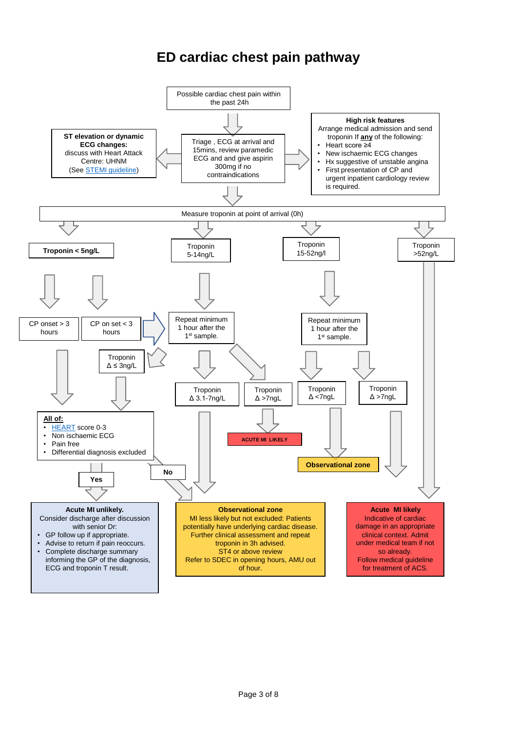# <span id="page-2-0"></span>**ED cardiac chest pain pathway**

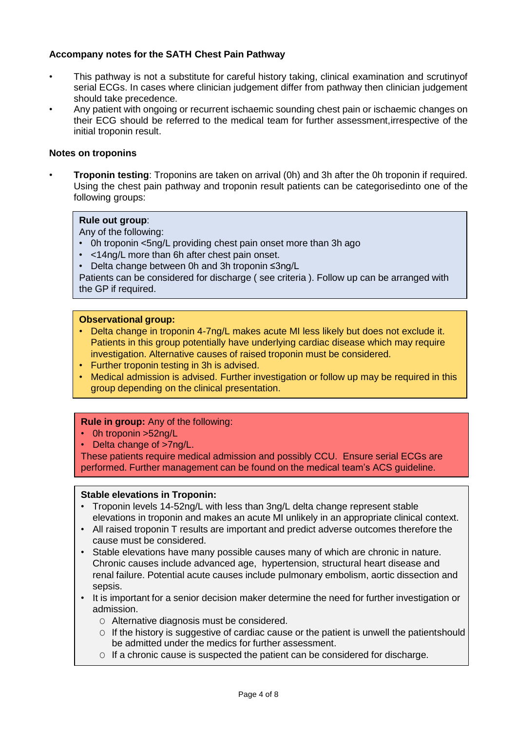# <span id="page-3-0"></span>**Accompany notes for the SATH Chest Pain Pathway**

- This pathway is not a substitute for careful history taking, clinical examination and scrutinyof serial ECGs. In cases where clinician judgement differ from pathway then clinician judgement should take precedence.
- Any patient with ongoing or recurrent ischaemic sounding chest pain or ischaemic changes on their ECG should be referred to the medical team for further assessment,irrespective of the initial troponin result.

### **Notes on troponins**

• **Troponin testing**: Troponins are taken on arrival (0h) and 3h after the 0h troponin if required. Using the chest pain pathway and troponin result patients can be categorisedinto one of the following groups:

#### **Rule out group**:

Any of the following:

- 0h troponin <5ng/L providing chest pain onset more than 3h ago
- <14ng/L more than 6h after chest pain onset.
- Delta change between 0h and 3h troponin ≤3ng/L

Patients can be considered for discharge ( see criteria ). Follow up can be arranged with the GP if required.

#### **Observational group:**

- Delta change in troponin 4-7ng/L makes acute MI less likely but does not exclude it. Patients in this group potentially have underlying cardiac disease which may require investigation. Alternative causes of raised troponin must be considered.
- Further troponin testing in 3h is advised.
- Medical admission is advised. Further investigation or follow up may be required in this group depending on the clinical presentation.

## **Rule in group:** Any of the following:

- 0h troponin >52ng/L
- Delta change of >7ng/L.

These patients require medical admission and possibly CCU. Ensure serial ECGs are performed. Further management can be found on the medical team's ACS guideline.

#### **Stable elevations in Troponin:**

- Troponin levels 14-52ng/L with less than 3ng/L delta change represent stable elevations in troponin and makes an acute MI unlikely in an appropriate clinical context.
- All raised troponin T results are important and predict adverse outcomes therefore the cause must be considered.
- Stable elevations have many possible causes many of which are chronic in nature. Chronic causes include advanced age, hypertension, structural heart disease and renal failure. Potential acute causes include pulmonary embolism, aortic dissection and sepsis.
- It is important for a senior decision maker determine the need for further investigation or admission.
	- O Alternative diagnosis must be considered.
	- $\circ$  If the history is suggestive of cardiac cause or the patient is unwell the patientshould be admitted under the medics for further assessment.
	- $\circ$  If a chronic cause is suspected the patient can be considered for discharge.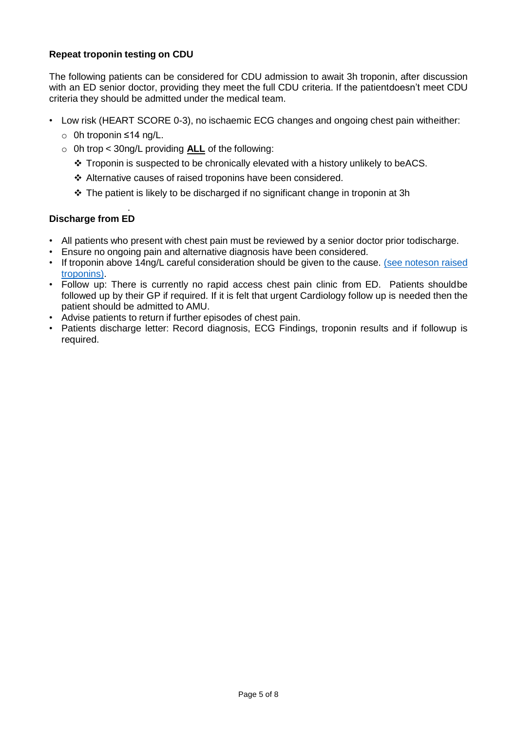# **Repeat troponin testing on CDU**

The following patients can be considered for CDU admission to await 3h troponin, after discussion with an ED senior doctor, providing they meet the full CDU criteria. If the patientdoesn't meet CDU criteria they should be admitted under the medical team.

- Low risk (HEART SCORE 0-3), no ischaemic ECG changes and ongoing chest pain witheither:
	- o 0h troponin ≤14 ng/L.
	- o 0h trop < 30ng/L providing **ALL** of the following:
		- $\cdot \cdot$  Troponin is suspected to be chronically elevated with a history unlikely to beACS.
		- Alternative causes of raised troponins have been considered.
		- \* The patient is likely to be discharged if no significant change in troponin at 3h

#### . **Discharge from ED**

- All patients who present with chest pain must be reviewed by a senior doctor prior todischarge.
- Ensure no ongoing pain and alternative diagnosis have been considered.
- If troponin above 14ng/L careful [consideration](#page-3-0) should be given to the cause. (see noteson raised [troponins\).](#page-3-0)
- Follow up: There is currently no rapid access chest pain clinic from ED. Patients shouldbe followed up by their GP if required. If it is felt that urgent Cardiology follow up is needed then the patient should be admitted to AMU.
- Advise patients to return if further episodes of chest pain.
- Patients discharge letter: Record diagnosis, ECG Findings, troponin results and if followup is required.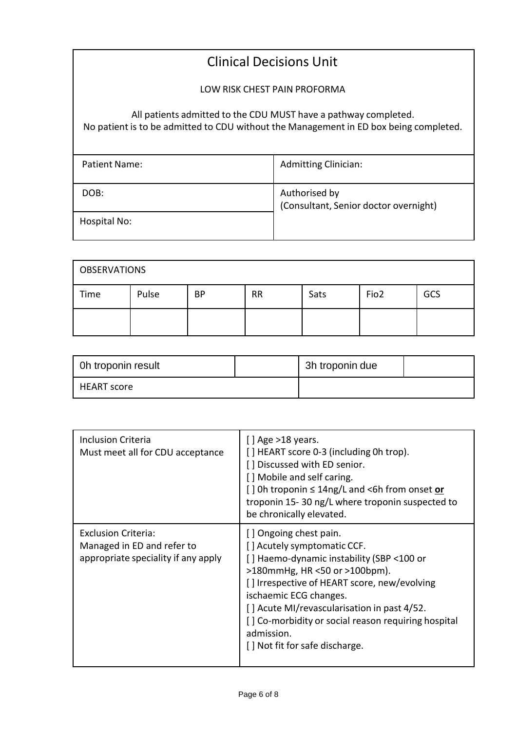# Clinical Decisions Unit

LOW RISK CHEST PAIN PROFORMA

All patients admitted to the CDU MUST have a pathway completed.

No patient is to be admitted to CDU without the Management in ED box being completed.

| Patient Name: | <b>Admitting Clinician:</b>                            |
|---------------|--------------------------------------------------------|
| DOB:          | Authorised by<br>(Consultant, Senior doctor overnight) |
| Hospital No:  |                                                        |

| <b>OBSERVATIONS</b> |       |    |           |      |                  |     |
|---------------------|-------|----|-----------|------|------------------|-----|
| Time                | Pulse | BP | <b>RR</b> | Sats | Fio <sub>2</sub> | GCS |
|                     |       |    |           |      |                  |     |

| Oh troponin result | 3h troponin due |  |
|--------------------|-----------------|--|
| <b>HEART</b> score |                 |  |

| <b>Inclusion Criteria</b><br>Must meet all for CDU acceptance                                   | $[$ ] Age >18 years.<br>[] HEART score 0-3 (including 0h trop).<br>[ ] Discussed with ED senior.<br>[] Mobile and self caring.<br>[ ] 0h troponin ≤ 14ng/L and <6h from onset or<br>troponin 15-30 ng/L where troponin suspected to<br>be chronically elevated.                                                                                                           |
|-------------------------------------------------------------------------------------------------|---------------------------------------------------------------------------------------------------------------------------------------------------------------------------------------------------------------------------------------------------------------------------------------------------------------------------------------------------------------------------|
| <b>Exclusion Criteria:</b><br>Managed in ED and refer to<br>appropriate speciality if any apply | [] Ongoing chest pain.<br>[] Acutely symptomatic CCF.<br>[] Haemo-dynamic instability (SBP <100 or<br>$>180$ mmHg, HR <50 or $>100$ bpm).<br>[] Irrespective of HEART score, new/evolving<br>ischaemic ECG changes.<br>[] Acute MI/revascularisation in past 4/52.<br>[] Co-morbidity or social reason requiring hospital<br>admission.<br>[] Not fit for safe discharge. |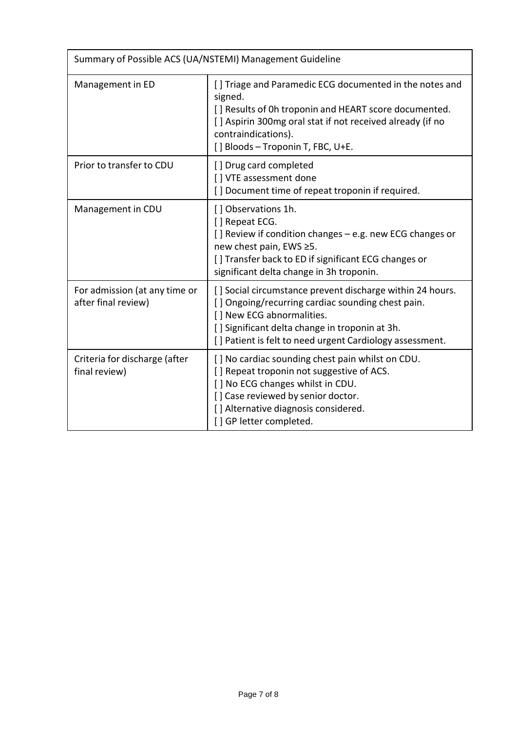| Summary of Possible ACS (UA/NSTEMI) Management Guideline |                                                                                                                                                                                                                                                           |  |
|----------------------------------------------------------|-----------------------------------------------------------------------------------------------------------------------------------------------------------------------------------------------------------------------------------------------------------|--|
| Management in ED                                         | [] Triage and Paramedic ECG documented in the notes and<br>signed.<br>[] Results of 0h troponin and HEART score documented.<br>[] Aspirin 300mg oral stat if not received already (if no<br>contraindications).<br>[] Bloods - Troponin T, FBC, U+E.      |  |
| Prior to transfer to CDU                                 | [] Drug card completed<br>[] VTE assessment done<br>[] Document time of repeat troponin if required.                                                                                                                                                      |  |
| Management in CDU                                        | [] Observations 1h.<br>[] Repeat ECG.<br>[] Review if condition changes – e.g. new ECG changes or<br>new chest pain, EWS ≥5.<br>[] Transfer back to ED if significant ECG changes or<br>significant delta change in 3h troponin.                          |  |
| For admission (at any time or<br>after final review)     | [] Social circumstance prevent discharge within 24 hours.<br>[] Ongoing/recurring cardiac sounding chest pain.<br>[] New ECG abnormalities.<br>[] Significant delta change in troponin at 3h.<br>[] Patient is felt to need urgent Cardiology assessment. |  |
| Criteria for discharge (after<br>final review)           | [] No cardiac sounding chest pain whilst on CDU.<br>[] Repeat troponin not suggestive of ACS.<br>[] No ECG changes whilst in CDU.<br>[] Case reviewed by senior doctor.<br>[] Alternative diagnosis considered.<br>[] GP letter completed.                |  |